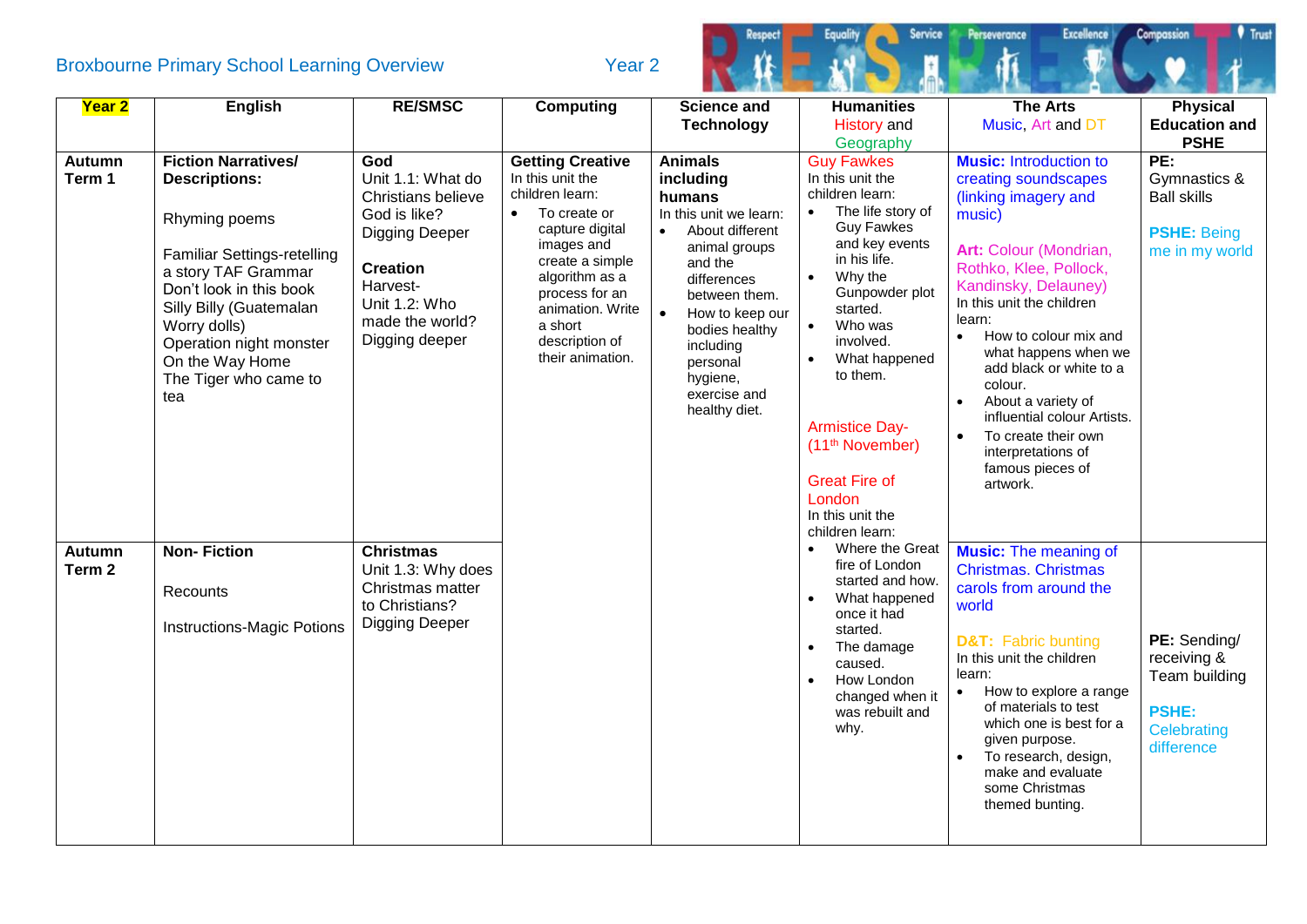## Broxbourne Primary School Learning Overview Tear 2



| Year 2                  | English                                                                                                                                                                                                                                                                              | <b>RE/SMSC</b>                                                                                                                                                               | <b>Computing</b>                                                                                                                                                                                                                                         | <b>Science and</b>                                                                                                                                                                                                                                                                  | <b>Humanities</b>                                                                                                                                                                                                                                                                                                                                                                                                       | <b>The Arts</b>                                                                                                                                                                                                                                                                                                                                                                                                                                  | <b>Physical</b>                                                                           |
|-------------------------|--------------------------------------------------------------------------------------------------------------------------------------------------------------------------------------------------------------------------------------------------------------------------------------|------------------------------------------------------------------------------------------------------------------------------------------------------------------------------|----------------------------------------------------------------------------------------------------------------------------------------------------------------------------------------------------------------------------------------------------------|-------------------------------------------------------------------------------------------------------------------------------------------------------------------------------------------------------------------------------------------------------------------------------------|-------------------------------------------------------------------------------------------------------------------------------------------------------------------------------------------------------------------------------------------------------------------------------------------------------------------------------------------------------------------------------------------------------------------------|--------------------------------------------------------------------------------------------------------------------------------------------------------------------------------------------------------------------------------------------------------------------------------------------------------------------------------------------------------------------------------------------------------------------------------------------------|-------------------------------------------------------------------------------------------|
|                         |                                                                                                                                                                                                                                                                                      |                                                                                                                                                                              |                                                                                                                                                                                                                                                          | <b>Technology</b>                                                                                                                                                                                                                                                                   | <b>History</b> and                                                                                                                                                                                                                                                                                                                                                                                                      | Music, Art and DT                                                                                                                                                                                                                                                                                                                                                                                                                                | <b>Education and</b>                                                                      |
|                         |                                                                                                                                                                                                                                                                                      |                                                                                                                                                                              |                                                                                                                                                                                                                                                          |                                                                                                                                                                                                                                                                                     | Geography                                                                                                                                                                                                                                                                                                                                                                                                               |                                                                                                                                                                                                                                                                                                                                                                                                                                                  | <b>PSHE</b>                                                                               |
| <b>Autumn</b><br>Term 1 | <b>Fiction Narratives/</b><br><b>Descriptions:</b><br>Rhyming poems<br><b>Familiar Settings-retelling</b><br>a story TAF Grammar<br>Don't look in this book<br>Silly Billy (Guatemalan<br>Worry dolls)<br>Operation night monster<br>On the Way Home<br>The Tiger who came to<br>tea | God<br>Unit 1.1: What do<br>Christians believe<br>God is like?<br><b>Digging Deeper</b><br><b>Creation</b><br>Harvest-<br>Unit 1.2: Who<br>made the world?<br>Digging deeper | <b>Getting Creative</b><br>In this unit the<br>children learn:<br>To create or<br>$\bullet$<br>capture digital<br>images and<br>create a simple<br>algorithm as a<br>process for an<br>animation. Write<br>a short<br>description of<br>their animation. | <b>Animals</b><br>including<br>humans<br>In this unit we learn:<br>About different<br>$\bullet$<br>animal groups<br>and the<br>differences<br>between them.<br>$\bullet$<br>How to keep our<br>bodies healthy<br>including<br>personal<br>hygiene,<br>exercise and<br>healthy diet. | <b>Guy Fawkes</b><br>In this unit the<br>children learn:<br>The life story of<br>$\bullet$<br><b>Guy Fawkes</b><br>and key events<br>in his life.<br>Why the<br>$\bullet$<br>Gunpowder plot<br>started.<br>Who was<br>$\bullet$<br>involved.<br>What happened<br>$\bullet$<br>to them.<br><b>Armistice Day-</b><br>(11 <sup>th</sup> November)<br><b>Great Fire of</b><br>London<br>In this unit the<br>children learn: | <b>Music:</b> Introduction to<br>creating soundscapes<br>(linking imagery and<br>music)<br>Art: Colour (Mondrian,<br>Rothko, Klee, Pollock,<br>Kandinsky, Delauney)<br>In this unit the children<br>learn:<br>How to colour mix and<br>what happens when we<br>add black or white to a<br>colour.<br>About a variety of<br>influential colour Artists.<br>To create their own<br>$\bullet$<br>interpretations of<br>famous pieces of<br>artwork. | PE:<br>Gymnastics &<br><b>Ball skills</b><br><b>PSHE: Being</b><br>me in my world         |
| <b>Autumn</b><br>Term 2 | <b>Non-Fiction</b><br>Recounts<br><b>Instructions-Magic Potions</b>                                                                                                                                                                                                                  | <b>Christmas</b><br>Unit 1.3: Why does<br>Christmas matter<br>to Christians?<br><b>Digging Deeper</b>                                                                        |                                                                                                                                                                                                                                                          |                                                                                                                                                                                                                                                                                     | Where the Great<br>fire of London<br>started and how.<br>What happened<br>once it had<br>started.<br>The damage<br>caused.<br>How London<br>$\bullet$<br>changed when it<br>was rebuilt and<br>why.                                                                                                                                                                                                                     | <b>Music:</b> The meaning of<br><b>Christmas. Christmas</b><br>carols from around the<br>world<br><b>D&amp;T:</b> Fabric bunting<br>In this unit the children<br>learn:<br>How to explore a range<br>$\bullet$<br>of materials to test<br>which one is best for a<br>given purpose.<br>To research, design,<br>make and evaluate<br>some Christmas<br>themed bunting.                                                                            | PE: Sending/<br>receiving &<br>Team building<br><b>PSHE:</b><br>Celebrating<br>difference |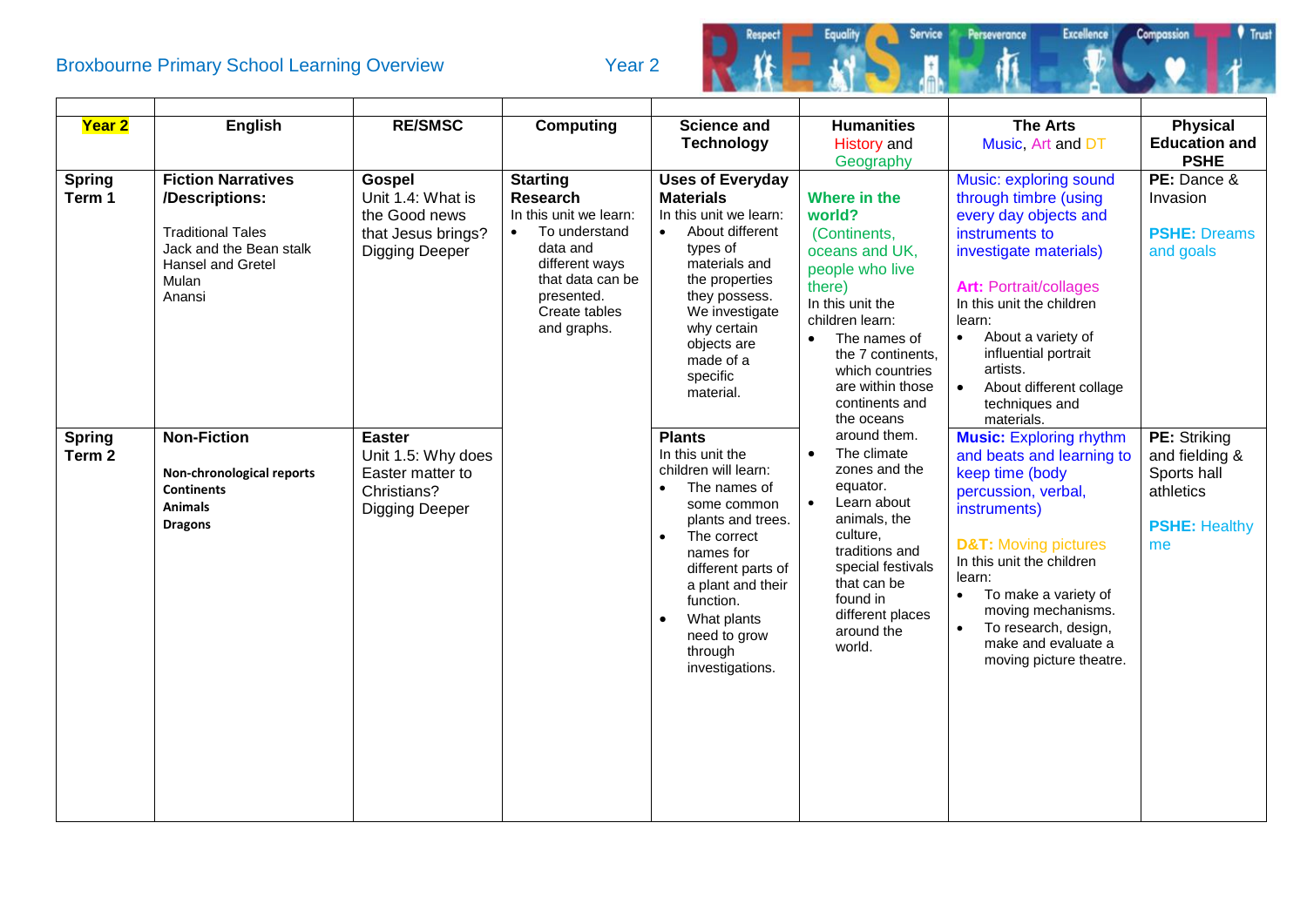## Broxbourne Primary School Learning Overview Tear 2



| Year 2                             | <b>English</b>                                                                                                                             | <b>RE/SMSC</b>                                                                              | <b>Computing</b>                                                                                                                                                                           | <b>Science and</b><br><b>Technology</b>                                                                                                                                                                                                                                                  | <b>Humanities</b><br><b>History</b> and<br>Geography                                                                                                                                                                                        | <b>The Arts</b><br>Music, Art and DT                                                                                                                                                                                                                                                                                                        | <b>Physical</b><br><b>Education and</b><br><b>PSHE</b>                                   |
|------------------------------------|--------------------------------------------------------------------------------------------------------------------------------------------|---------------------------------------------------------------------------------------------|--------------------------------------------------------------------------------------------------------------------------------------------------------------------------------------------|------------------------------------------------------------------------------------------------------------------------------------------------------------------------------------------------------------------------------------------------------------------------------------------|---------------------------------------------------------------------------------------------------------------------------------------------------------------------------------------------------------------------------------------------|---------------------------------------------------------------------------------------------------------------------------------------------------------------------------------------------------------------------------------------------------------------------------------------------------------------------------------------------|------------------------------------------------------------------------------------------|
| <b>Spring</b><br>Term 1            | <b>Fiction Narratives</b><br>/Descriptions:<br><b>Traditional Tales</b><br>Jack and the Bean stalk<br>Hansel and Gretel<br>Mulan<br>Anansi | Gospel<br>Unit 1.4: What is<br>the Good news<br>that Jesus brings?<br><b>Digging Deeper</b> | <b>Starting</b><br><b>Research</b><br>In this unit we learn:<br>To understand<br>$\bullet$<br>data and<br>different ways<br>that data can be<br>presented.<br>Create tables<br>and graphs. | <b>Uses of Everyday</b><br><b>Materials</b><br>In this unit we learn:<br>About different<br>types of<br>materials and<br>the properties<br>they possess.<br>We investigate<br>why certain<br>objects are<br>made of a<br>specific<br>material.                                           | Where in the<br>world?<br>(Continents,<br>oceans and UK,<br>people who live<br>there)<br>In this unit the<br>children learn:<br>The names of<br>the 7 continents,<br>which countries<br>are within those<br>continents and<br>the oceans    | Music: exploring sound<br>through timbre (using<br>every day objects and<br>instruments to<br>investigate materials)<br><b>Art: Portrait/collages</b><br>In this unit the children<br>learn:<br>About a variety of<br>$\bullet$<br>influential portrait<br>artists.<br>About different collage<br>$\bullet$<br>techniques and<br>materials. | PE: Dance &<br>Invasion<br><b>PSHE: Dreams</b><br>and goals                              |
| <b>Spring</b><br>Term <sub>2</sub> | <b>Non-Fiction</b><br>Non-chronological reports<br><b>Continents</b><br><b>Animals</b><br><b>Dragons</b>                                   | <b>Easter</b><br>Unit 1.5: Why does<br>Easter matter to<br>Christians?<br>Digging Deeper    |                                                                                                                                                                                            | <b>Plants</b><br>In this unit the<br>children will learn:<br>The names of<br>$\bullet$<br>some common<br>plants and trees.<br>The correct<br>$\bullet$<br>names for<br>different parts of<br>a plant and their<br>function.<br>What plants<br>need to grow<br>through<br>investigations. | around them.<br>The climate<br>$\bullet$<br>zones and the<br>equator.<br>Learn about<br>$\bullet$<br>animals, the<br>culture,<br>traditions and<br>special festivals<br>that can be<br>found in<br>different places<br>around the<br>world. | <b>Music: Exploring rhythm</b><br>and beats and learning to<br>keep time (body<br>percussion, verbal,<br>instruments)<br><b>D&amp;T:</b> Moving pictures<br>In this unit the children<br>learn:<br>To make a variety of<br>$\bullet$<br>moving mechanisms.<br>To research, design,<br>make and evaluate a<br>moving picture theatre.        | PE: Striking<br>and fielding &<br>Sports hall<br>athletics<br><b>PSHE: Healthy</b><br>me |